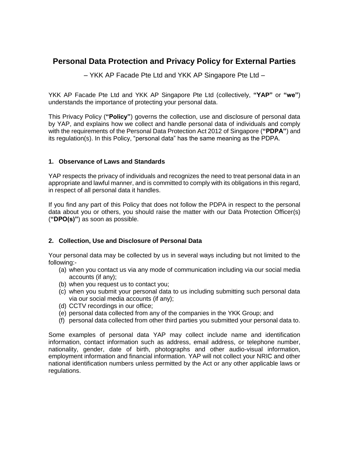# **Personal Data Protection and Privacy Policy for External Parties**

– YKK AP Facade Pte Ltd and YKK AP Singapore Pte Ltd –

YKK AP Facade Pte Ltd and YKK AP Singapore Pte Ltd (collectively, **"YAP"** or **"we"**) understands the importance of protecting your personal data.

This Privacy Policy (**"Policy"**) governs the collection, use and disclosure of personal data by YAP, and explains how we collect and handle personal data of individuals and comply with the requirements of the Personal Data Protection Act 2012 of Singapore (**"PDPA"**) and its regulation(s). In this Policy, "personal data" has the same meaning as the PDPA.

# **1. Observance of Laws and Standards**

YAP respects the privacy of individuals and recognizes the need to treat personal data in an appropriate and lawful manner, and is committed to comply with its obligations in this regard, in respect of all personal data it handles.

If you find any part of this Policy that does not follow the PDPA in respect to the personal data about you or others, you should raise the matter with our Data Protection Officer(s) (**"DPO(s)"**) as soon as possible.

# **2. Collection, Use and Disclosure of Personal Data**

Your personal data may be collected by us in several ways including but not limited to the following:-

- (a) when you contact us via any mode of communication including via our social media accounts (if any);
- (b) when you request us to contact you;
- (c) when you submit your personal data to us including submitting such personal data via our social media accounts (if any);
- (d) CCTV recordings in our office;
- (e) personal data collected from any of the companies in the YKK Group; and
- (f) personal data collected from other third parties you submitted your personal data to.

Some examples of personal data YAP may collect include name and identification information, contact information such as address, email address, or telephone number, nationality, gender, date of birth, photographs and other audio-visual information, employment information and financial information. YAP will not collect your NRIC and other national identification numbers unless permitted by the Act or any other applicable laws or regulations.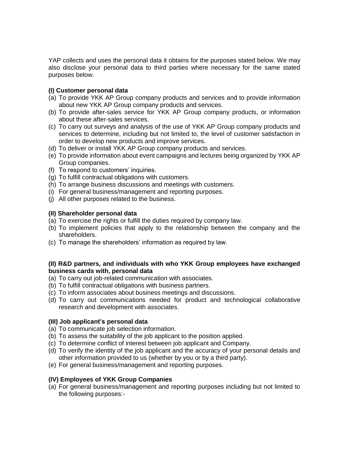YAP collects and uses the personal data it obtains for the purposes stated below. We may also disclose your personal data to third parties where necessary for the same stated purposes below.

### **(I) Customer personal data**

- (a) To provide YKK AP Group company products and services and to provide information about new YKK AP Group company products and services.
- (b) To provide after-sales service for YKK AP Group company products, or information about these after-sales services.
- (c) To carry out surveys and analysis of the use of YKK AP Group company products and services to determine, including but not limited to, the level of customer satisfaction in order to develop new products and improve services.
- (d) To deliver or install YKK AP Group company products and services.
- (e) To provide information about event campaigns and lectures being organized by YKK AP Group companies.
- (f) To respond to customers' inquiries.
- (g) To fulfill contractual obligations with customers.
- (h) To arrange business discussions and meetings with customers.
- (i) For general business/management and reporting purposes.
- (j) All other purposes related to the business.

#### **(II) Shareholder personal data**

- (a) To exercise the rights or fulfill the duties required by company law.
- (b) To implement policies that apply to the relationship between the company and the shareholders.
- (c) To manage the shareholders' information as required by law.

#### **(II) R&D partners, and individuals with who YKK Group employees have exchanged business cards with, personal data**

- (a) To carry out job-related communication with associates.
- (b) To fulfill contractual obligations with business partners.
- (c) To inform associates about business meetings and discussions.
- (d) To carry out communications needed for product and technological collaborative research and development with associates.

### **(III) Job applicant's personal data**

- (a) To communicate job selection information.
- (b) To assess the suitability of the job applicant to the position applied.
- (c) To determine conflict of interest between job applicant and Company.
- (d) To verify the identity of the job applicant and the accuracy of your personal details and other information provided to us (whether by you or by a third party).
- (e) For general business/management and reporting purposes.

### **(IV) Employees of YKK Group Companies**

(a) For general business/management and reporting purposes including but not limited to the following purposes:-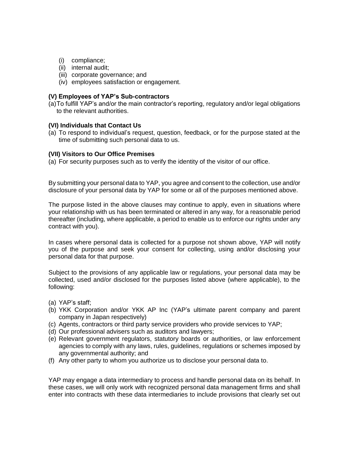- (i) compliance;
- (ii) internal audit;
- (iii) corporate governance; and
- (iv) employees satisfaction or engagement.

#### **(V) Employees of YAP's Sub-contractors**

(a)To fulfill YAP's and/or the main contractor's reporting, regulatory and/or legal obligations to the relevant authorities.

#### **(VI) Individuals that Contact Us**

(a) To respond to individual's request, question, feedback, or for the purpose stated at the time of submitting such personal data to us.

#### **(VII) Visitors to Our Office Premises**

(a) For security purposes such as to verify the identity of the visitor of our office.

By submitting your personal data to YAP, you agree and consent to the collection, use and/or disclosure of your personal data by YAP for some or all of the purposes mentioned above.

The purpose listed in the above clauses may continue to apply, even in situations where your relationship with us has been terminated or altered in any way, for a reasonable period thereafter (including, where applicable, a period to enable us to enforce our rights under any contract with you).

In cases where personal data is collected for a purpose not shown above, YAP will notify you of the purpose and seek your consent for collecting, using and/or disclosing your personal data for that purpose.

Subject to the provisions of any applicable law or regulations, your personal data may be collected, used and/or disclosed for the purposes listed above (where applicable), to the following:

- (a) YAP's staff;
- (b) YKK Corporation and/or YKK AP Inc (YAP's ultimate parent company and parent company in Japan respectively)
- (c) Agents, contractors or third party service providers who provide services to YAP;
- (d) Our professional advisers such as auditors and lawyers;
- (e) Relevant government regulators, statutory boards or authorities, or law enforcement agencies to comply with any laws, rules, guidelines, regulations or schemes imposed by any governmental authority; and
- (f) Any other party to whom you authorize us to disclose your personal data to.

YAP may engage a data intermediary to process and handle personal data on its behalf. In these cases, we will only work with recognized personal data management firms and shall enter into contracts with these data intermediaries to include provisions that clearly set out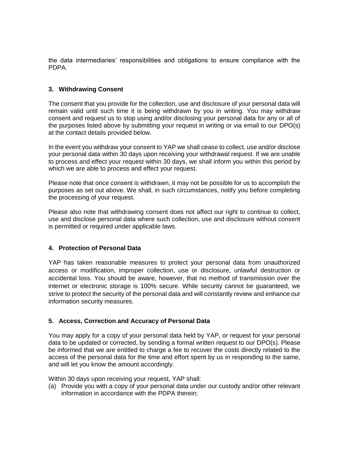the data intermediaries' responsibilities and obligations to ensure compliance with the PDPA.

## **3. Withdrawing Consent**

The consent that you provide for the collection, use and disclosure of your personal data will remain valid until such time it is being withdrawn by you in writing. You may withdraw consent and request us to stop using and/or disclosing your personal data for any or all of the purposes listed above by submitting your request in writing or via email to our DPO(s) at the contact details provided below.

In the event you withdraw your consent to YAP we shall cease to collect, use and/or disclose your personal data within 30 days upon receiving your withdrawal request. If we are unable to process and effect your request within 30 days, we shall inform you within this period by which we are able to process and effect your request.

Please note that once consent is withdrawn, it may not be possible for us to accomplish the purposes as set out above. We shall, in such circumstances, notify you before completing the processing of your request.

Please also note that withdrawing consent does not affect our right to continue to collect, use and disclose personal data where such collection, use and disclosure without consent is permitted or required under applicable laws.

## **4. Protection of Personal Data**

YAP has taken reasonable measures to protect your personal data from unauthorized access or modification, improper collection, use or disclosure, unlawful destruction or accidental loss. You should be aware, however, that no method of transmission over the internet or electronic storage is 100% secure. While security cannot be guaranteed, we strive to protect the security of the personal data and will constantly review and enhance our information security measures.

### **5. Access, Correction and Accuracy of Personal Data**

You may apply for a copy of your personal data held by YAP, or request for your personal data to be updated or corrected, by sending a formal written request to our DPO(s). Please be informed that we are entitled to charge a fee to recover the costs directly related to the access of the personal data for the time and effort spent by us in responding to the same, and will let you know the amount accordingly.

Within 30 days upon receiving your request, YAP shall:

(a) Provide you with a copy of your personal data under our custody and/or other relevant information in accordance with the PDPA therein;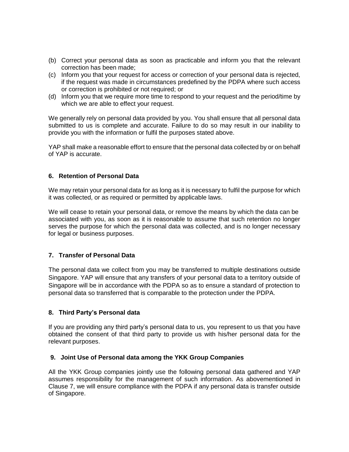- (b) Correct your personal data as soon as practicable and inform you that the relevant correction has been made;
- (c) Inform you that your request for access or correction of your personal data is rejected, if the request was made in circumstances predefined by the PDPA where such access or correction is prohibited or not required; or
- (d) Inform you that we require more time to respond to your request and the period/time by which we are able to effect your request.

We generally rely on personal data provided by you. You shall ensure that all personal data submitted to us is complete and accurate. Failure to do so may result in our inability to provide you with the information or fulfil the purposes stated above.

YAP shall make a reasonable effort to ensure that the personal data collected by or on behalf of YAP is accurate.

## **6. Retention of Personal Data**

We may retain your personal data for as long as it is necessary to fulfil the purpose for which it was collected, or as required or permitted by applicable laws.

We will cease to retain your personal data, or remove the means by which the data can be associated with you, as soon as it is reasonable to assume that such retention no longer serves the purpose for which the personal data was collected, and is no longer necessary for legal or business purposes.

### **7. Transfer of Personal Data**

The personal data we collect from you may be transferred to multiple destinations outside Singapore. YAP will ensure that any transfers of your personal data to a territory outside of Singapore will be in accordance with the PDPA so as to ensure a standard of protection to personal data so transferred that is comparable to the protection under the PDPA.

### **8. Third Party's Personal data**

If you are providing any third party's personal data to us, you represent to us that you have obtained the consent of that third party to provide us with his/her personal data for the relevant purposes.

### **9. Joint Use of Personal data among the YKK Group Companies**

All the YKK Group companies jointly use the following personal data gathered and YAP assumes responsibility for the management of such information. As abovementioned in Clause 7, we will ensure compliance with the PDPA if any personal data is transfer outside of Singapore.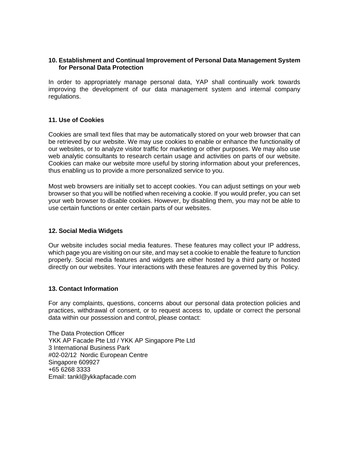#### **10. Establishment and Continual Improvement of Personal Data Management System for Personal Data Protection**

In order to appropriately manage personal data, YAP shall continually work towards improving the development of our data management system and internal company regulations.

#### **11. Use of Cookies**

Cookies are small text files that may be automatically stored on your web browser that can be retrieved by our website. We may use cookies to enable or enhance the functionality of our websites, or to analyze visitor traffic for marketing or other purposes. We may also use web analytic consultants to research certain usage and activities on parts of our website. Cookies can make our website more useful by storing information about your preferences, thus enabling us to provide a more personalized service to you.

Most web browsers are initially set to accept cookies. You can adjust settings on your web browser so that you will be notified when receiving a cookie. If you would prefer, you can set your web browser to disable cookies. However, by disabling them, you may not be able to use certain functions or enter certain parts of our websites.

#### **12. Social Media Widgets**

Our website includes social media features. These features may collect your IP address, which page you are visiting on our site, and may set a cookie to enable the feature to function properly. Social media features and widgets are either hosted by a third party or hosted directly on our websites. Your interactions with these features are governed by this Policy.

#### **13. Contact Information**

For any complaints, questions, concerns about our personal data protection policies and practices, withdrawal of consent, or to request access to, update or correct the personal data within our possession and control, please contact:

The Data Protection Officer YKK AP Facade Pte Ltd / YKK AP Singapore Pte Ltd 3 International Business Park #02-02/12 Nordic European Centre Singapore 609927 +65 6268 3333 Email: [tankl@ykkapfacade.com](mailto:%20tankl@ykkapfacade.com)